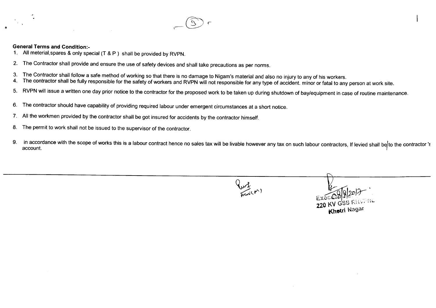## **General Terms and Condition:-**

\*

- 1. All meterial,spares & only special (T & P) shall be provided by RVPN.
- 2. The Contractor shall provide and ensure the use of safety devices and shall take precautions as per norms.
- 3. The Contractor shall follow a safe method of working so that there is no damage to Nigam's material and also no injury to any of his workers.<br>4. The contractor shall be fully responsible for the safety of workers and RV
- The contractor shall be fully responsible for the safety of workers and RVPN will not responsible for any type of accident. minor or fatal to any person at work site.
- 5. RVPN will issue a written one day prior notice to the contractor for the proposed work to be taken up during shutdown of bay/equipment incase of routine maintenance.
- 6. The contractor should have capability of providing required labour under emergent circumstances at a short notice.
- 7. All the workmen provided by the contractor shall be got insured for accidents by the contractor himself.
- 8. The permit to work shall not be issued to the supervisor of the contractor.
- 9. in accordance with the scope of works this is a labour contract hence no sales tax will be livable however any tax on such labour contractors, If levied shall be to the contractor 's account.

Khetri Nagar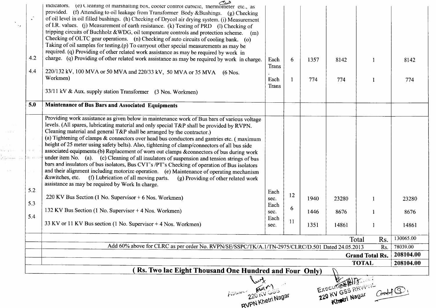|             |                                                                          | indicators. (e) Cleaning of marshalling box, cooler control cubicle, thermometer etc., as                                                                                                 |              |    |      |       |     |           |  |  |  |  |  |
|-------------|--------------------------------------------------------------------------|-------------------------------------------------------------------------------------------------------------------------------------------------------------------------------------------|--------------|----|------|-------|-----|-----------|--|--|--|--|--|
|             | $\mathcal{L}$                                                            | provided. (f) Attending to oil leakage from Transformer Body &Bushings. (g) Checking<br>of oil level in oil filled bushings. (h) Checking of Drycol air drying system. (i) Measurement    |              |    |      |       |     |           |  |  |  |  |  |
| $\cdot$ p   |                                                                          | of I.R. values. (j) Measurement of earth resistance. (k) Testing of PRD (l) Checking of<br>tripping circuits of Buchholz & WDG, oil temperature controls and protection scheme.<br>(m)    |              |    |      |       |     |           |  |  |  |  |  |
|             |                                                                          | Checking of OLTC gear operations. (n) Checking of auto circuits of cooling bank. (o)                                                                                                      |              |    |      |       |     |           |  |  |  |  |  |
|             |                                                                          | Taking of oil samples for testing.(p) To carryout other special measurements as may be                                                                                                    |              |    |      |       |     |           |  |  |  |  |  |
|             | 4.2                                                                      | required. (q) Providing of other related work assistance as may be required by work in                                                                                                    |              |    |      |       |     |           |  |  |  |  |  |
|             |                                                                          | charge. (q) Providing of other related work assistance as may be required by work in charge.                                                                                              | Each         | 6  | 1357 | 8142  |     | 8142      |  |  |  |  |  |
|             | 4.4                                                                      | 220/132 kV, 100 MVA or 50 MVA and 220/33 kV, 50 MVA or 35 MVA (6 Nos.                                                                                                                     | Trans        |    |      |       |     |           |  |  |  |  |  |
|             |                                                                          | Workmen)                                                                                                                                                                                  | Each         |    | 774  | 774   |     | 774       |  |  |  |  |  |
|             |                                                                          |                                                                                                                                                                                           | <b>Trans</b> |    |      |       |     |           |  |  |  |  |  |
|             |                                                                          | 33/11 kV & Aux. supply station Transformer (3 Nos. Workmen)                                                                                                                               |              |    |      |       |     |           |  |  |  |  |  |
|             | 5.0                                                                      | Maintenance of Bus Bars and Associated Equipments                                                                                                                                         |              |    |      |       |     |           |  |  |  |  |  |
|             |                                                                          | Providing work assistance as given below in maintenance work of Bus bars of various voltage                                                                                               |              |    |      |       |     |           |  |  |  |  |  |
|             |                                                                          | levels. (All spares, lubricating material and only special T&P shall be provided by RVPN.                                                                                                 |              |    |      |       |     |           |  |  |  |  |  |
|             |                                                                          | Cleaning material and general T&P shall be arranged by the contractor.)                                                                                                                   |              |    |      |       |     |           |  |  |  |  |  |
|             |                                                                          | (a) Tightening of clamps & connectors over head bus conductors and gantries etc. (maximum<br>height of 25 meter using safety belts). Also, tightening of clamp/connectors of all bus side |              |    |      |       |     |           |  |  |  |  |  |
|             | $\epsilon=4$                                                             | associated equipments.(b) Replacement of worn out clamps &connectors of bus during work                                                                                                   |              |    |      |       |     |           |  |  |  |  |  |
| kilmaan 192 |                                                                          | under item No. (a). (c) Cleaning of all insulators of suspension and tension strings of bus                                                                                               |              |    |      |       |     |           |  |  |  |  |  |
|             |                                                                          | bars and insulators of bus isolators, Bus CVT's /PT's Checking of operation of Bus isolators                                                                                              |              |    |      |       |     |           |  |  |  |  |  |
|             |                                                                          | and their alignment including motorize operation. (e) Maintenance of operating mechanism<br>&switches, etc.<br>(f) Lubrication of all moving parts. (g) Providing of other related work   |              |    |      |       |     |           |  |  |  |  |  |
|             |                                                                          | assistance as may be required by Work In charge.                                                                                                                                          |              |    |      |       |     |           |  |  |  |  |  |
|             | 5.2                                                                      |                                                                                                                                                                                           | Each         |    |      |       |     |           |  |  |  |  |  |
|             |                                                                          | 220 KV Bus Section (1 No. Supervisor + 6 Nos. Workmen)                                                                                                                                    | sec.         | 12 | 1940 | 23280 |     | 23280     |  |  |  |  |  |
|             | 5.3                                                                      | 132 KV Bus Section (1 No. Supervisor + 4 Nos. Workmen)                                                                                                                                    | Each         | 6  |      |       |     |           |  |  |  |  |  |
|             | 5.4                                                                      |                                                                                                                                                                                           | sec.<br>Each |    | 1446 | 8676  |     | 8676      |  |  |  |  |  |
|             |                                                                          | 33 KV or 11 KV Bus section (1 No. Supervisor + 4 Nos. Workmen)                                                                                                                            | sec.         | 11 | 1351 | 14861 |     | 14861     |  |  |  |  |  |
|             |                                                                          |                                                                                                                                                                                           |              |    |      | Total | Rs. | 130065.00 |  |  |  |  |  |
|             |                                                                          | Add 60% above for CLRC as per order No. RVPN/SE/SSPC/TK/A.1/TN-2975/CLRC/D.501 Dated 24.05.2013<br>78039.00<br>Rs.                                                                        |              |    |      |       |     |           |  |  |  |  |  |
|             |                                                                          | 208104.00<br><b>Grand Total Rs.</b><br>208104.00                                                                                                                                          |              |    |      |       |     |           |  |  |  |  |  |
|             | <b>TOTAL</b>                                                             |                                                                                                                                                                                           |              |    |      |       |     |           |  |  |  |  |  |
|             |                                                                          | (Rs. Two lac Eight Thousand One Hundred and Four Only)                                                                                                                                    |              |    |      |       |     |           |  |  |  |  |  |
|             |                                                                          |                                                                                                                                                                                           |              |    |      |       |     |           |  |  |  |  |  |
|             |                                                                          |                                                                                                                                                                                           |              |    |      |       |     |           |  |  |  |  |  |
|             | Lurk<br>Assembly 220 KW 303<br>TVPN Khetri Nagar<br>Execution All 13: 11 |                                                                                                                                                                                           |              |    |      |       |     |           |  |  |  |  |  |
|             |                                                                          |                                                                                                                                                                                           |              |    |      |       |     |           |  |  |  |  |  |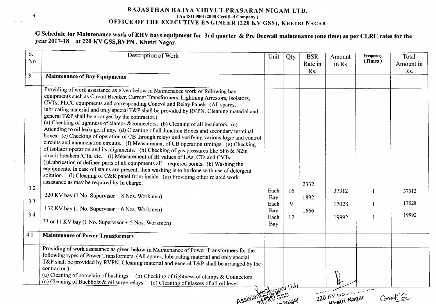## RAJASTHAN RAJYA VIDYUT PRASARAN NIGAM LTD. (An ISO 9001:2000 Certified Company) OFFICE OF THE EXECUTIVE ENGINEER (220 KV GSS), KHETRI NAGAR

## G Schedule for Maintenance work of EHV bays equipment for 3rd quarter & Pre Deewalimaintenance (one time) as per CLRC rates for the year 2017-18 at 220 KV GSS, RVPN, Khetri Nagar.

| $\overline{S}$ .<br>N <sub>o</sub> | Description of Work                                                                                                                                                                                                                                                                                                                                                                                                                                                                                                                                                                                                                                                                                                                                                                                                                                                                                                                                                                                                                                                                                                                                                                                                                                                                                                                                                                                                                                                           | Unit                                      | Qty.          | <b>BSR</b><br>Rate in<br>Rs. | Amount<br>in Rs                  | Frequency<br>(Times) | Total<br>Amount in<br>Rs. |
|------------------------------------|-------------------------------------------------------------------------------------------------------------------------------------------------------------------------------------------------------------------------------------------------------------------------------------------------------------------------------------------------------------------------------------------------------------------------------------------------------------------------------------------------------------------------------------------------------------------------------------------------------------------------------------------------------------------------------------------------------------------------------------------------------------------------------------------------------------------------------------------------------------------------------------------------------------------------------------------------------------------------------------------------------------------------------------------------------------------------------------------------------------------------------------------------------------------------------------------------------------------------------------------------------------------------------------------------------------------------------------------------------------------------------------------------------------------------------------------------------------------------------|-------------------------------------------|---------------|------------------------------|----------------------------------|----------------------|---------------------------|
| $\overline{\mathbf{3}}$            | <b>Maintenance of Bay Equipments</b>                                                                                                                                                                                                                                                                                                                                                                                                                                                                                                                                                                                                                                                                                                                                                                                                                                                                                                                                                                                                                                                                                                                                                                                                                                                                                                                                                                                                                                          |                                           |               |                              |                                  |                      |                           |
| 3.2<br>3.3<br>3.4                  | Providing of work assistance as given below in Maintenance work of following bay<br>equipments such as Circuit Breaker, Current Transformers, Lightning Arrestors, Isolators,<br>CVTs, PLCC equipments and corresponding Control and Relay Panels. (All spares,<br>lubricating material and only special T&P shall be provided by RVPN. Cleaning material and<br>general T&P shall be arranged by the contractor.)<br>(a) Checking of tightness of clamps &connectors. (b) Cleaning of all insulators. (c)<br>Attending to oil leakage, if any. (d) Cleaning of all Junction Boxes and secondary terminal<br>boxes. (e) Checking of operation of CB through relays and verifying various logic and control<br>circuits and annunciation circuits. (f) Measurement of CB operation timings. (g) Checking<br>of Isolator operation and its alignments. (h) Checking of gas pressures like SF6 & N2in<br>circuit breakers /CTs, etc. (i) Measurement of IR values of LAs, CTs and CVTs.<br>(j)Lubrication of defined parts of all equipments all required points. (k) Washing the<br>equipments. In case oil stains are present, then washing is to be done with use of detergent<br>solution. (1) Cleaning of C&R panel from inside. (m) Providing other related work<br>assistance as may be required by In charge.<br>220 KV bay (1 No. Supervisor + 8 Nos. Workmen)<br>132 KV bay (1 No. Supervisor + 6 Nos. Workmen)<br>33 or 11 KV bay (1 No. Supervisor + 5 Nos. Workmen) | Each<br>Bay<br>Each<br>Bay<br>Each<br>Bay | 16<br>9<br>12 | 2332<br>1892<br>1666         | 37312<br>17028<br>19992          | 1<br>$\mathbf{1}$    | 37312<br>17028<br>19992   |
| 4.0                                | <b>Maintenance of Power Transformers</b>                                                                                                                                                                                                                                                                                                                                                                                                                                                                                                                                                                                                                                                                                                                                                                                                                                                                                                                                                                                                                                                                                                                                                                                                                                                                                                                                                                                                                                      |                                           |               |                              |                                  |                      |                           |
|                                    | Providing of work assistance as given below in Maintenance of Power Transformers for the<br>following types of Power Transformers. (All spares, lubricating material and only special<br>T&P shall be provided by RVPN. Cleaning material and general T&P shall be arranged by the<br>contractor.)<br>(a) Cleaning of porcelain of bushings. (b) Checking of tightness of clamps $&$ Connectors.<br>(c) Cleaning of Buchholz & oil surge relays. (d) Cleaning of glasses of all oil level<br><b>Assistant</b>                                                                                                                                                                                                                                                                                                                                                                                                                                                                                                                                                                                                                                                                                                                                                                                                                                                                                                                                                                 |                                           |               |                              | 220 KV GOD BROWN<br>Khatri Nagar |                      |                           |